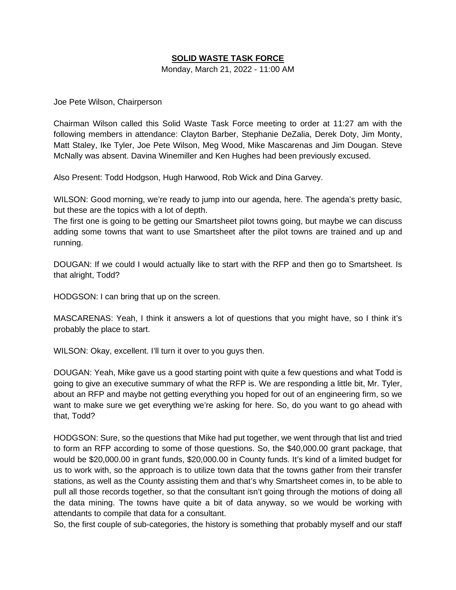### **SOLID WASTE TASK FORCE**

Monday, March 21, 2022 - 11:00 AM

Joe Pete Wilson, Chairperson

Chairman Wilson called this Solid Waste Task Force meeting to order at 11:27 am with the following members in attendance: Clayton Barber, Stephanie DeZalia, Derek Doty, Jim Monty, Matt Staley, Ike Tyler, Joe Pete Wilson, Meg Wood, Mike Mascarenas and Jim Dougan. Steve McNally was absent. Davina Winemiller and Ken Hughes had been previously excused.

Also Present: Todd Hodgson, Hugh Harwood, Rob Wick and Dina Garvey.

WILSON: Good morning, we're ready to jump into our agenda, here. The agenda's pretty basic, but these are the topics with a lot of depth.

The first one is going to be getting our Smartsheet pilot towns going, but maybe we can discuss adding some towns that want to use Smartsheet after the pilot towns are trained and up and running.

DOUGAN: If we could I would actually like to start with the RFP and then go to Smartsheet. Is that alright, Todd?

HODGSON: I can bring that up on the screen.

MASCARENAS: Yeah, I think it answers a lot of questions that you might have, so I think it's probably the place to start.

WILSON: Okay, excellent. I'll turn it over to you guys then.

DOUGAN: Yeah, Mike gave us a good starting point with quite a few questions and what Todd is going to give an executive summary of what the RFP is. We are responding a little bit, Mr. Tyler, about an RFP and maybe not getting everything you hoped for out of an engineering firm, so we want to make sure we get everything we're asking for here. So, do you want to go ahead with that, Todd?

HODGSON: Sure, so the questions that Mike had put together, we went through that list and tried to form an RFP according to some of those questions. So, the \$40,000.00 grant package, that would be \$20,000.00 in grant funds, \$20,000.00 in County funds. It's kind of a limited budget for us to work with, so the approach is to utilize town data that the towns gather from their transfer stations, as well as the County assisting them and that's why Smartsheet comes in, to be able to pull all those records together, so that the consultant isn't going through the motions of doing all the data mining. The towns have quite a bit of data anyway, so we would be working with attendants to compile that data for a consultant.

So, the first couple of sub-categories, the history is something that probably myself and our staff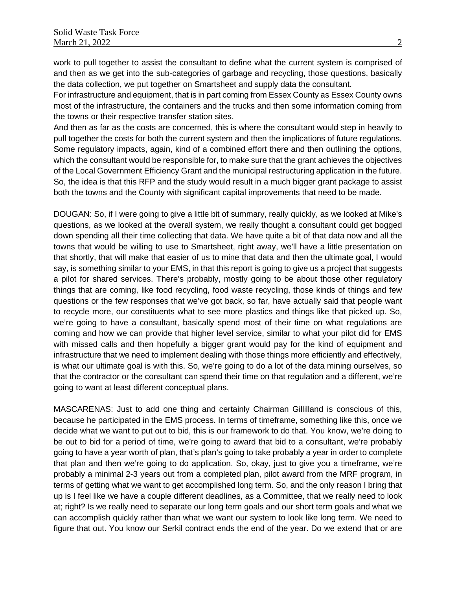work to pull together to assist the consultant to define what the current system is comprised of and then as we get into the sub-categories of garbage and recycling, those questions, basically the data collection, we put together on Smartsheet and supply data the consultant.

For infrastructure and equipment, that is in part coming from Essex County as Essex County owns most of the infrastructure, the containers and the trucks and then some information coming from the towns or their respective transfer station sites.

And then as far as the costs are concerned, this is where the consultant would step in heavily to pull together the costs for both the current system and then the implications of future regulations. Some regulatory impacts, again, kind of a combined effort there and then outlining the options, which the consultant would be responsible for, to make sure that the grant achieves the objectives of the Local Government Efficiency Grant and the municipal restructuring application in the future. So, the idea is that this RFP and the study would result in a much bigger grant package to assist both the towns and the County with significant capital improvements that need to be made.

DOUGAN: So, if I were going to give a little bit of summary, really quickly, as we looked at Mike's questions, as we looked at the overall system, we really thought a consultant could get bogged down spending all their time collecting that data. We have quite a bit of that data now and all the towns that would be willing to use to Smartsheet, right away, we'll have a little presentation on that shortly, that will make that easier of us to mine that data and then the ultimate goal, I would say, is something similar to your EMS, in that this report is going to give us a project that suggests a pilot for shared services. There's probably, mostly going to be about those other regulatory things that are coming, like food recycling, food waste recycling, those kinds of things and few questions or the few responses that we've got back, so far, have actually said that people want to recycle more, our constituents what to see more plastics and things like that picked up. So, we're going to have a consultant, basically spend most of their time on what regulations are coming and how we can provide that higher level service, similar to what your pilot did for EMS with missed calls and then hopefully a bigger grant would pay for the kind of equipment and infrastructure that we need to implement dealing with those things more efficiently and effectively, is what our ultimate goal is with this. So, we're going to do a lot of the data mining ourselves, so that the contractor or the consultant can spend their time on that regulation and a different, we're going to want at least different conceptual plans.

MASCARENAS: Just to add one thing and certainly Chairman Gillilland is conscious of this, because he participated in the EMS process. In terms of timeframe, something like this, once we decide what we want to put out to bid, this is our framework to do that. You know, we're doing to be out to bid for a period of time, we're going to award that bid to a consultant, we're probably going to have a year worth of plan, that's plan's going to take probably a year in order to complete that plan and then we're going to do application. So, okay, just to give you a timeframe, we're probably a minimal 2-3 years out from a completed plan, pilot award from the MRF program, in terms of getting what we want to get accomplished long term. So, and the only reason I bring that up is I feel like we have a couple different deadlines, as a Committee, that we really need to look at; right? Is we really need to separate our long term goals and our short term goals and what we can accomplish quickly rather than what we want our system to look like long term. We need to figure that out. You know our Serkil contract ends the end of the year. Do we extend that or are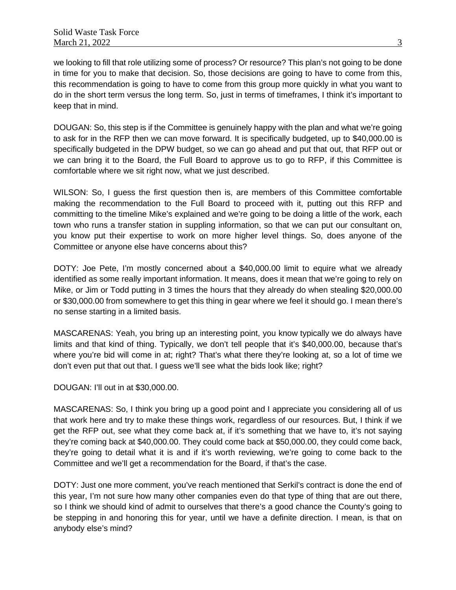we looking to fill that role utilizing some of process? Or resource? This plan's not going to be done in time for you to make that decision. So, those decisions are going to have to come from this, this recommendation is going to have to come from this group more quickly in what you want to do in the short term versus the long term. So, just in terms of timeframes, I think it's important to keep that in mind.

DOUGAN: So, this step is if the Committee is genuinely happy with the plan and what we're going to ask for in the RFP then we can move forward. It is specifically budgeted, up to \$40,000.00 is specifically budgeted in the DPW budget, so we can go ahead and put that out, that RFP out or we can bring it to the Board, the Full Board to approve us to go to RFP, if this Committee is comfortable where we sit right now, what we just described.

WILSON: So, I guess the first question then is, are members of this Committee comfortable making the recommendation to the Full Board to proceed with it, putting out this RFP and committing to the timeline Mike's explained and we're going to be doing a little of the work, each town who runs a transfer station in suppling information, so that we can put our consultant on, you know put their expertise to work on more higher level things. So, does anyone of the Committee or anyone else have concerns about this?

DOTY: Joe Pete, I'm mostly concerned about a \$40,000.00 limit to equire what we already identified as some really important information. It means, does it mean that we're going to rely on Mike, or Jim or Todd putting in 3 times the hours that they already do when stealing \$20,000.00 or \$30,000.00 from somewhere to get this thing in gear where we feel it should go. I mean there's no sense starting in a limited basis.

MASCARENAS: Yeah, you bring up an interesting point, you know typically we do always have limits and that kind of thing. Typically, we don't tell people that it's \$40,000.00, because that's where you're bid will come in at; right? That's what there they're looking at, so a lot of time we don't even put that out that. I guess we'll see what the bids look like; right?

DOUGAN: I'll out in at \$30,000.00.

MASCARENAS: So, I think you bring up a good point and I appreciate you considering all of us that work here and try to make these things work, regardless of our resources. But, I think if we get the RFP out, see what they come back at, if it's something that we have to, it's not saying they're coming back at \$40,000.00. They could come back at \$50,000.00, they could come back, they're going to detail what it is and if it's worth reviewing, we're going to come back to the Committee and we'll get a recommendation for the Board, if that's the case.

DOTY: Just one more comment, you've reach mentioned that Serkil's contract is done the end of this year, I'm not sure how many other companies even do that type of thing that are out there, so I think we should kind of admit to ourselves that there's a good chance the County's going to be stepping in and honoring this for year, until we have a definite direction. I mean, is that on anybody else's mind?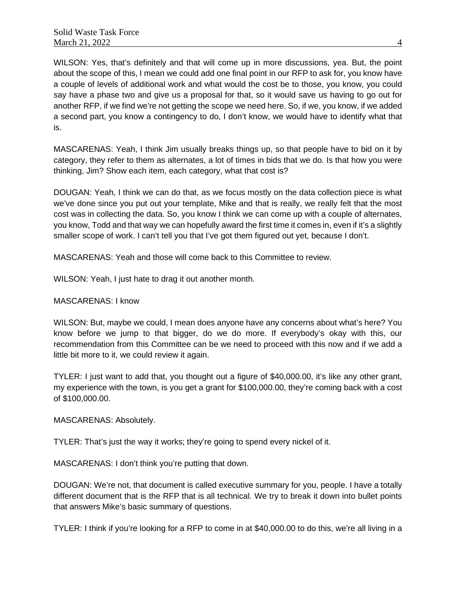WILSON: Yes, that's definitely and that will come up in more discussions, yea. But, the point about the scope of this, I mean we could add one final point in our RFP to ask for, you know have a couple of levels of additional work and what would the cost be to those, you know, you could say have a phase two and give us a proposal for that, so it would save us having to go out for another RFP, if we find we're not getting the scope we need here. So, if we, you know, if we added a second part, you know a contingency to do, I don't know, we would have to identify what that is.

MASCARENAS: Yeah, I think Jim usually breaks things up, so that people have to bid on it by category, they refer to them as alternates, a lot of times in bids that we do. Is that how you were thinking, Jim? Show each item, each category, what that cost is?

DOUGAN: Yeah, I think we can do that, as we focus mostly on the data collection piece is what we've done since you put out your template, Mike and that is really, we really felt that the most cost was in collecting the data. So, you know I think we can come up with a couple of alternates, you know, Todd and that way we can hopefully award the first time it comes in, even if it's a slightly smaller scope of work. I can't tell you that I've got them figured out yet, because I don't.

MASCARENAS: Yeah and those will come back to this Committee to review.

WILSON: Yeah, I just hate to drag it out another month.

#### MASCARENAS: I know

WILSON: But, maybe we could, I mean does anyone have any concerns about what's here? You know before we jump to that bigger, do we do more. If everybody's okay with this, our recommendation from this Committee can be we need to proceed with this now and if we add a little bit more to it, we could review it again.

TYLER: I just want to add that, you thought out a figure of \$40,000.00, it's like any other grant, my experience with the town, is you get a grant for \$100,000.00, they're coming back with a cost of \$100,000.00.

MASCARENAS: Absolutely.

TYLER: That's just the way it works; they're going to spend every nickel of it.

MASCARENAS: I don't think you're putting that down.

DOUGAN: We're not, that document is called executive summary for you, people. I have a totally different document that is the RFP that is all technical. We try to break it down into bullet points that answers Mike's basic summary of questions.

TYLER: I think if you're looking for a RFP to come in at \$40,000.00 to do this, we're all living in a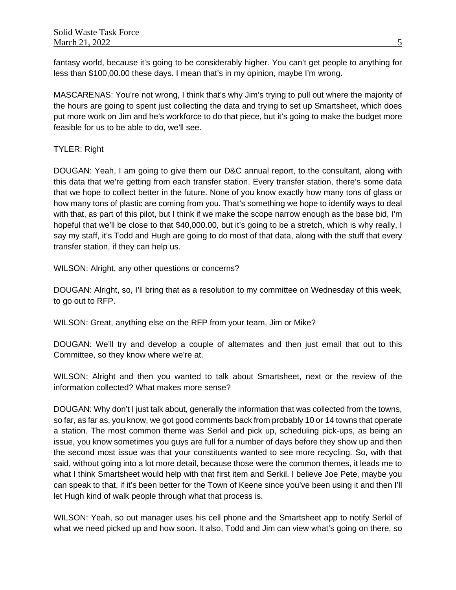fantasy world, because it's going to be considerably higher. You can't get people to anything for less than \$100,00.00 these days. I mean that's in my opinion, maybe I'm wrong.

MASCARENAS: You're not wrong, I think that's why Jim's trying to pull out where the majority of the hours are going to spent just collecting the data and trying to set up Smartsheet, which does put more work on Jim and he's workforce to do that piece, but it's going to make the budget more feasible for us to be able to do, we'll see.

## TYLER: Right

DOUGAN: Yeah, I am going to give them our D&C annual report, to the consultant, along with this data that we're getting from each transfer station. Every transfer station, there's some data that we hope to collect better in the future. None of you know exactly how many tons of glass or how many tons of plastic are coming from you. That's something we hope to identify ways to deal with that, as part of this pilot, but I think if we make the scope narrow enough as the base bid, I'm hopeful that we'll be close to that \$40,000.00, but it's going to be a stretch, which is why really, I say my staff, it's Todd and Hugh are going to do most of that data, along with the stuff that every transfer station, if they can help us.

WILSON: Alright, any other questions or concerns?

DOUGAN: Alright, so, I'll bring that as a resolution to my committee on Wednesday of this week, to go out to RFP.

WILSON: Great, anything else on the RFP from your team, Jim or Mike?

DOUGAN: We'll try and develop a couple of alternates and then just email that out to this Committee, so they know where we're at.

WILSON: Alright and then you wanted to talk about Smartsheet, next or the review of the information collected? What makes more sense?

DOUGAN: Why don't I just talk about, generally the information that was collected from the towns, so far, as far as, you know, we got good comments back from probably 10 or 14 towns that operate a station. The most common theme was Serkil and pick up, scheduling pick-ups, as being an issue, you know sometimes you guys are full for a number of days before they show up and then the second most issue was that your constituents wanted to see more recycling. So, with that said, without going into a lot more detail, because those were the common themes, it leads me to what I think Smartsheet would help with that first item and Serkil. I believe Joe Pete, maybe you can speak to that, if it's been better for the Town of Keene since you've been using it and then I'll let Hugh kind of walk people through what that process is.

WILSON: Yeah, so out manager uses his cell phone and the Smartsheet app to notify Serkil of what we need picked up and how soon. It also, Todd and Jim can view what's going on there, so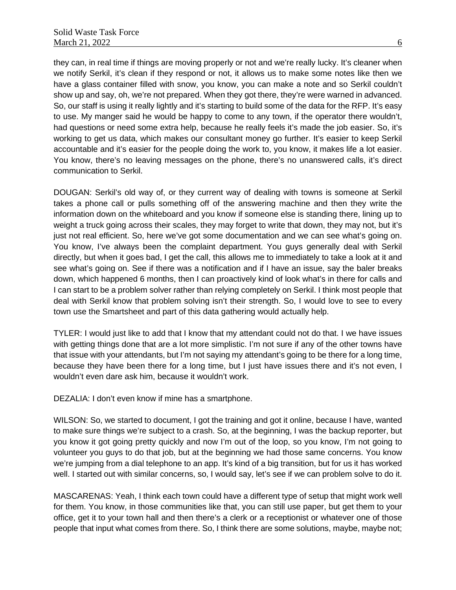they can, in real time if things are moving properly or not and we're really lucky. It's cleaner when we notify Serkil, it's clean if they respond or not, it allows us to make some notes like then we have a glass container filled with snow, you know, you can make a note and so Serkil couldn't show up and say, oh, we're not prepared. When they got there, they're were warned in advanced. So, our staff is using it really lightly and it's starting to build some of the data for the RFP. It's easy to use. My manger said he would be happy to come to any town, if the operator there wouldn't, had questions or need some extra help, because he really feels it's made the job easier. So, it's working to get us data, which makes our consultant money go further. It's easier to keep Serkil accountable and it's easier for the people doing the work to, you know, it makes life a lot easier. You know, there's no leaving messages on the phone, there's no unanswered calls, it's direct communication to Serkil.

DOUGAN: Serkil's old way of, or they current way of dealing with towns is someone at Serkil takes a phone call or pulls something off of the answering machine and then they write the information down on the whiteboard and you know if someone else is standing there, lining up to weight a truck going across their scales, they may forget to write that down, they may not, but it's just not real efficient. So, here we've got some documentation and we can see what's going on. You know, I've always been the complaint department. You guys generally deal with Serkil directly, but when it goes bad, I get the call, this allows me to immediately to take a look at it and see what's going on. See if there was a notification and if I have an issue, say the baler breaks down, which happened 6 months, then I can proactively kind of look what's in there for calls and I can start to be a problem solver rather than relying completely on Serkil. I think most people that deal with Serkil know that problem solving isn't their strength. So, I would love to see to every town use the Smartsheet and part of this data gathering would actually help.

TYLER: I would just like to add that I know that my attendant could not do that. I we have issues with getting things done that are a lot more simplistic. I'm not sure if any of the other towns have that issue with your attendants, but I'm not saying my attendant's going to be there for a long time, because they have been there for a long time, but I just have issues there and it's not even, I wouldn't even dare ask him, because it wouldn't work.

DEZALIA: I don't even know if mine has a smartphone.

WILSON: So, we started to document, I got the training and got it online, because I have, wanted to make sure things we're subject to a crash. So, at the beginning, I was the backup reporter, but you know it got going pretty quickly and now I'm out of the loop, so you know, I'm not going to volunteer you guys to do that job, but at the beginning we had those same concerns. You know we're jumping from a dial telephone to an app. It's kind of a big transition, but for us it has worked well. I started out with similar concerns, so, I would say, let's see if we can problem solve to do it.

MASCARENAS: Yeah, I think each town could have a different type of setup that might work well for them. You know, in those communities like that, you can still use paper, but get them to your office, get it to your town hall and then there's a clerk or a receptionist or whatever one of those people that input what comes from there. So, I think there are some solutions, maybe, maybe not;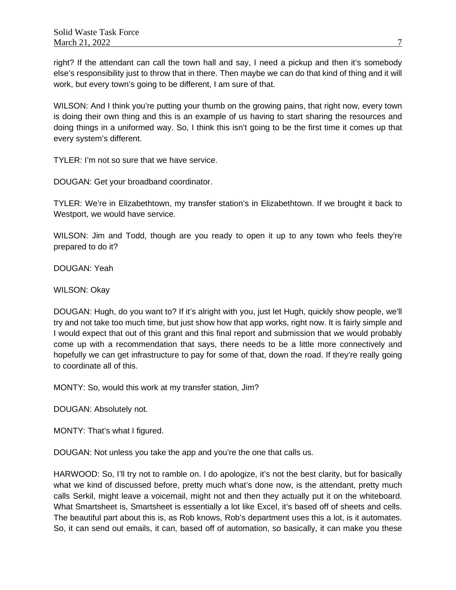right? If the attendant can call the town hall and say, I need a pickup and then it's somebody else's responsibility just to throw that in there. Then maybe we can do that kind of thing and it will work, but every town's going to be different, I am sure of that.

WILSON: And I think you're putting your thumb on the growing pains, that right now, every town is doing their own thing and this is an example of us having to start sharing the resources and doing things in a uniformed way. So, I think this isn't going to be the first time it comes up that every system's different.

TYLER: I'm not so sure that we have service.

DOUGAN: Get your broadband coordinator.

TYLER: We're in Elizabethtown, my transfer station's in Elizabethtown. If we brought it back to Westport, we would have service.

WILSON: Jim and Todd, though are you ready to open it up to any town who feels they're prepared to do it?

DOUGAN: Yeah

WILSON: Okay

DOUGAN: Hugh, do you want to? If it's alright with you, just let Hugh, quickly show people, we'll try and not take too much time, but just show how that app works, right now. It is fairly simple and I would expect that out of this grant and this final report and submission that we would probably come up with a recommendation that says, there needs to be a little more connectively and hopefully we can get infrastructure to pay for some of that, down the road. If they're really going to coordinate all of this.

MONTY: So, would this work at my transfer station, Jim?

DOUGAN: Absolutely not.

MONTY: That's what I figured.

DOUGAN: Not unless you take the app and you're the one that calls us.

HARWOOD: So, I'll try not to ramble on. I do apologize, it's not the best clarity, but for basically what we kind of discussed before, pretty much what's done now, is the attendant, pretty much calls Serkil, might leave a voicemail, might not and then they actually put it on the whiteboard. What Smartsheet is, Smartsheet is essentially a lot like Excel, it's based off of sheets and cells. The beautiful part about this is, as Rob knows, Rob's department uses this a lot, is it automates. So, it can send out emails, it can, based off of automation, so basically, it can make you these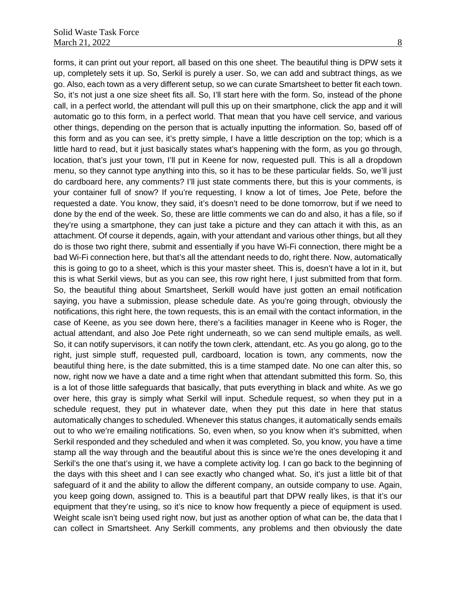forms, it can print out your report, all based on this one sheet. The beautiful thing is DPW sets it up, completely sets it up. So, Serkil is purely a user. So, we can add and subtract things, as we go. Also, each town as a very different setup, so we can curate Smartsheet to better fit each town. So, it's not just a one size sheet fits all. So, I'll start here with the form. So, instead of the phone call, in a perfect world, the attendant will pull this up on their smartphone, click the app and it will automatic go to this form, in a perfect world. That mean that you have cell service, and various other things, depending on the person that is actually inputting the information. So, based off of this form and as you can see, it's pretty simple, I have a little description on the top; which is a little hard to read, but it just basically states what's happening with the form, as you go through, location, that's just your town, I'll put in Keene for now, requested pull. This is all a dropdown menu, so they cannot type anything into this, so it has to be these particular fields. So, we'll just do cardboard here, any comments? I'll just state comments there, but this is your comments, is your container full of snow? If you're requesting, I know a lot of times, Joe Pete, before the requested a date. You know, they said, it's doesn't need to be done tomorrow, but if we need to done by the end of the week. So, these are little comments we can do and also, it has a file, so if they're using a smartphone, they can just take a picture and they can attach it with this, as an attachment. Of course it depends, again, with your attendant and various other things, but all they do is those two right there, submit and essentially if you have Wi-Fi connection, there might be a bad Wi-Fi connection here, but that's all the attendant needs to do, right there. Now, automatically this is going to go to a sheet, which is this your master sheet. This is, doesn't have a lot in it, but this is what Serkil views, but as you can see, this row right here, I just submitted from that form. So, the beautiful thing about Smartsheet, Serkill would have just gotten an email notification saying, you have a submission, please schedule date. As you're going through, obviously the notifications, this right here, the town requests, this is an email with the contact information, in the case of Keene, as you see down here, there's a facilities manager in Keene who is Roger, the actual attendant, and also Joe Pete right underneath, so we can send multiple emails, as well. So, it can notify supervisors, it can notify the town clerk, attendant, etc. As you go along, go to the right, just simple stuff, requested pull, cardboard, location is town, any comments, now the beautiful thing here, is the date submitted, this is a time stamped date. No one can alter this, so now, right now we have a date and a time right when that attendant submitted this form. So, this is a lot of those little safeguards that basically, that puts everything in black and white. As we go over here, this gray is simply what Serkil will input. Schedule request, so when they put in a schedule request, they put in whatever date, when they put this date in here that status automatically changes to scheduled. Whenever this status changes, it automatically sends emails out to who we're emailing notifications. So, even when, so you know when it's submitted, when Serkil responded and they scheduled and when it was completed. So, you know, you have a time stamp all the way through and the beautiful about this is since we're the ones developing it and Serkil's the one that's using it, we have a complete activity log. I can go back to the beginning of the days with this sheet and I can see exactly who changed what. So, it's just a little bit of that safeguard of it and the ability to allow the different company, an outside company to use. Again, you keep going down, assigned to. This is a beautiful part that DPW really likes, is that it's our equipment that they're using, so it's nice to know how frequently a piece of equipment is used. Weight scale isn't being used right now, but just as another option of what can be, the data that I can collect in Smartsheet. Any Serkill comments, any problems and then obviously the date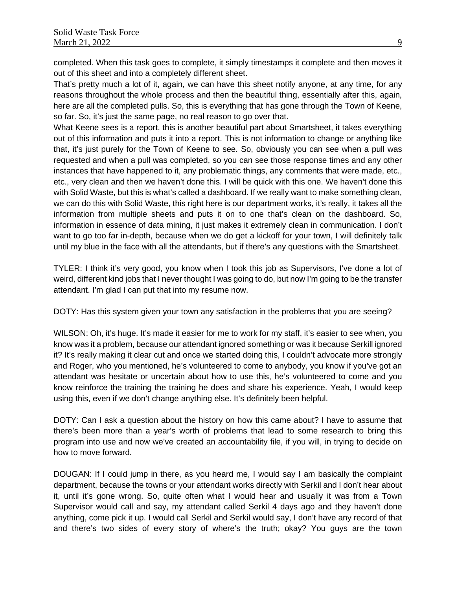completed. When this task goes to complete, it simply timestamps it complete and then moves it out of this sheet and into a completely different sheet.

That's pretty much a lot of it, again, we can have this sheet notify anyone, at any time, for any reasons throughout the whole process and then the beautiful thing, essentially after this, again, here are all the completed pulls. So, this is everything that has gone through the Town of Keene, so far. So, it's just the same page, no real reason to go over that.

What Keene sees is a report, this is another beautiful part about Smartsheet, it takes everything out of this information and puts it into a report. This is not information to change or anything like that, it's just purely for the Town of Keene to see. So, obviously you can see when a pull was requested and when a pull was completed, so you can see those response times and any other instances that have happened to it, any problematic things, any comments that were made, etc., etc., very clean and then we haven't done this. I will be quick with this one. We haven't done this with Solid Waste, but this is what's called a dashboard. If we really want to make something clean, we can do this with Solid Waste, this right here is our department works, it's really, it takes all the information from multiple sheets and puts it on to one that's clean on the dashboard. So, information in essence of data mining, it just makes it extremely clean in communication. I don't want to go too far in-depth, because when we do get a kickoff for your town, I will definitely talk until my blue in the face with all the attendants, but if there's any questions with the Smartsheet.

TYLER: I think it's very good, you know when I took this job as Supervisors, I've done a lot of weird, different kind jobs that I never thought I was going to do, but now I'm going to be the transfer attendant. I'm glad I can put that into my resume now.

DOTY: Has this system given your town any satisfaction in the problems that you are seeing?

WILSON: Oh, it's huge. It's made it easier for me to work for my staff, it's easier to see when, you know was it a problem, because our attendant ignored something or was it because Serkill ignored it? It's really making it clear cut and once we started doing this, I couldn't advocate more strongly and Roger, who you mentioned, he's volunteered to come to anybody, you know if you've got an attendant was hesitate or uncertain about how to use this, he's volunteered to come and you know reinforce the training the training he does and share his experience. Yeah, I would keep using this, even if we don't change anything else. It's definitely been helpful.

DOTY: Can I ask a question about the history on how this came about? I have to assume that there's been more than a year's worth of problems that lead to some research to bring this program into use and now we've created an accountability file, if you will, in trying to decide on how to move forward.

DOUGAN: If I could jump in there, as you heard me, I would say I am basically the complaint department, because the towns or your attendant works directly with Serkil and I don't hear about it, until it's gone wrong. So, quite often what I would hear and usually it was from a Town Supervisor would call and say, my attendant called Serkil 4 days ago and they haven't done anything, come pick it up. I would call Serkil and Serkil would say, I don't have any record of that and there's two sides of every story of where's the truth; okay? You guys are the town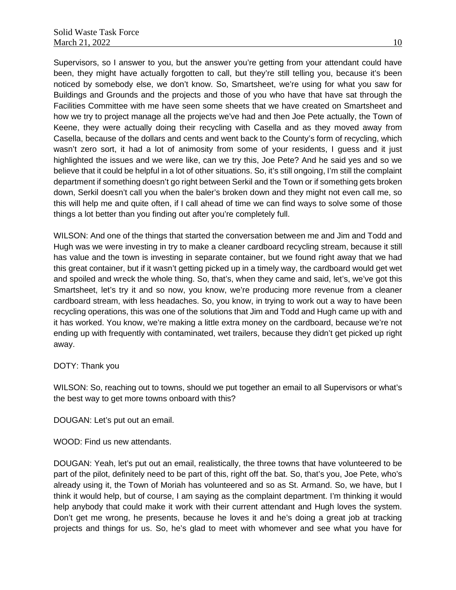Supervisors, so I answer to you, but the answer you're getting from your attendant could have been, they might have actually forgotten to call, but they're still telling you, because it's been noticed by somebody else, we don't know. So, Smartsheet, we're using for what you saw for Buildings and Grounds and the projects and those of you who have that have sat through the Facilities Committee with me have seen some sheets that we have created on Smartsheet and how we try to project manage all the projects we've had and then Joe Pete actually, the Town of Keene, they were actually doing their recycling with Casella and as they moved away from Casella, because of the dollars and cents and went back to the County's form of recycling, which wasn't zero sort, it had a lot of animosity from some of your residents, I guess and it just highlighted the issues and we were like, can we try this, Joe Pete? And he said yes and so we believe that it could be helpful in a lot of other situations. So, it's still ongoing, I'm still the complaint department if something doesn't go right between Serkil and the Town or if something gets broken down, Serkil doesn't call you when the baler's broken down and they might not even call me, so this will help me and quite often, if I call ahead of time we can find ways to solve some of those things a lot better than you finding out after you're completely full.

WILSON: And one of the things that started the conversation between me and Jim and Todd and Hugh was we were investing in try to make a cleaner cardboard recycling stream, because it still has value and the town is investing in separate container, but we found right away that we had this great container, but if it wasn't getting picked up in a timely way, the cardboard would get wet and spoiled and wreck the whole thing. So, that's, when they came and said, let's, we've got this Smartsheet, let's try it and so now, you know, we're producing more revenue from a cleaner cardboard stream, with less headaches. So, you know, in trying to work out a way to have been recycling operations, this was one of the solutions that Jim and Todd and Hugh came up with and it has worked. You know, we're making a little extra money on the cardboard, because we're not ending up with frequently with contaminated, wet trailers, because they didn't get picked up right away.

#### DOTY: Thank you

WILSON: So, reaching out to towns, should we put together an email to all Supervisors or what's the best way to get more towns onboard with this?

DOUGAN: Let's put out an email.

WOOD: Find us new attendants.

DOUGAN: Yeah, let's put out an email, realistically, the three towns that have volunteered to be part of the pilot, definitely need to be part of this, right off the bat. So, that's you, Joe Pete, who's already using it, the Town of Moriah has volunteered and so as St. Armand. So, we have, but I think it would help, but of course, I am saying as the complaint department. I'm thinking it would help anybody that could make it work with their current attendant and Hugh loves the system. Don't get me wrong, he presents, because he loves it and he's doing a great job at tracking projects and things for us. So, he's glad to meet with whomever and see what you have for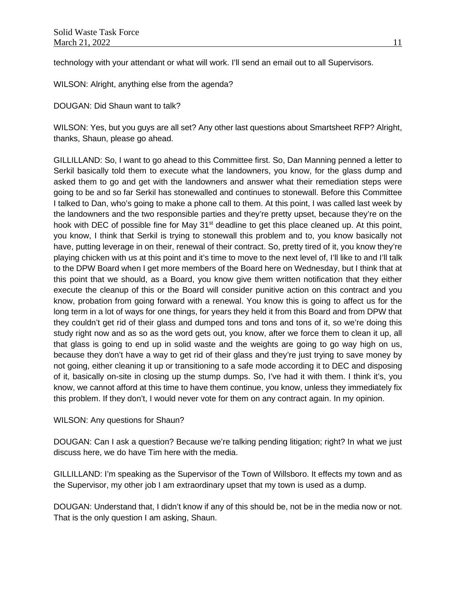technology with your attendant or what will work. I'll send an email out to all Supervisors.

WILSON: Alright, anything else from the agenda?

DOUGAN: Did Shaun want to talk?

WILSON: Yes, but you guys are all set? Any other last questions about Smartsheet RFP? Alright, thanks, Shaun, please go ahead.

GILLILLAND: So, I want to go ahead to this Committee first. So, Dan Manning penned a letter to Serkil basically told them to execute what the landowners, you know, for the glass dump and asked them to go and get with the landowners and answer what their remediation steps were going to be and so far Serkil has stonewalled and continues to stonewall. Before this Committee I talked to Dan, who's going to make a phone call to them. At this point, I was called last week by the landowners and the two responsible parties and they're pretty upset, because they're on the hook with DEC of possible fine for May  $31<sup>st</sup>$  deadline to get this place cleaned up. At this point, you know, I think that Serkil is trying to stonewall this problem and to, you know basically not have, putting leverage in on their, renewal of their contract. So, pretty tired of it, you know they're playing chicken with us at this point and it's time to move to the next level of, I'll like to and I'll talk to the DPW Board when I get more members of the Board here on Wednesday, but I think that at this point that we should, as a Board, you know give them written notification that they either execute the cleanup of this or the Board will consider punitive action on this contract and you know, probation from going forward with a renewal. You know this is going to affect us for the long term in a lot of ways for one things, for years they held it from this Board and from DPW that they couldn't get rid of their glass and dumped tons and tons and tons of it, so we're doing this study right now and as so as the word gets out, you know, after we force them to clean it up, all that glass is going to end up in solid waste and the weights are going to go way high on us, because they don't have a way to get rid of their glass and they're just trying to save money by not going, either cleaning it up or transitioning to a safe mode according it to DEC and disposing of it, basically on-site in closing up the stump dumps. So, I've had it with them. I think it's, you know, we cannot afford at this time to have them continue, you know, unless they immediately fix this problem. If they don't, I would never vote for them on any contract again. In my opinion.

#### WILSON: Any questions for Shaun?

DOUGAN: Can I ask a question? Because we're talking pending litigation; right? In what we just discuss here, we do have Tim here with the media.

GILLILLAND: I'm speaking as the Supervisor of the Town of Willsboro. It effects my town and as the Supervisor, my other job I am extraordinary upset that my town is used as a dump.

DOUGAN: Understand that, I didn't know if any of this should be, not be in the media now or not. That is the only question I am asking, Shaun.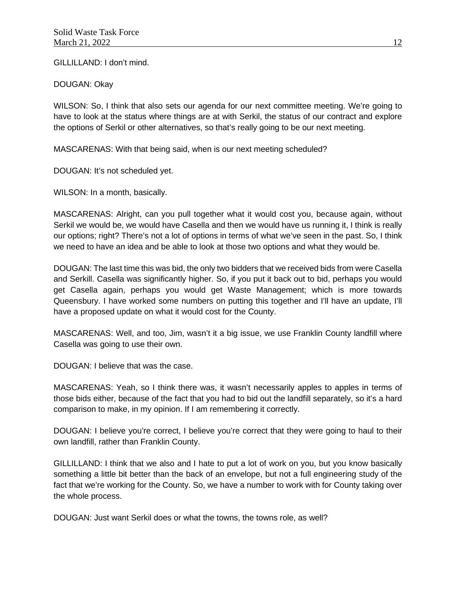GILLILLAND: I don't mind.

DOUGAN: Okay

WILSON: So, I think that also sets our agenda for our next committee meeting. We're going to have to look at the status where things are at with Serkil, the status of our contract and explore the options of Serkil or other alternatives, so that's really going to be our next meeting.

MASCARENAS: With that being said, when is our next meeting scheduled?

DOUGAN: It's not scheduled yet.

WILSON: In a month, basically.

MASCARENAS: Alright, can you pull together what it would cost you, because again, without Serkil we would be, we would have Casella and then we would have us running it, I think is really our options; right? There's not a lot of options in terms of what we've seen in the past. So, I think we need to have an idea and be able to look at those two options and what they would be.

DOUGAN: The last time this was bid, the only two bidders that we received bids from were Casella and Serkill. Casella was significantly higher. So, if you put it back out to bid, perhaps you would get Casella again, perhaps you would get Waste Management; which is more towards Queensbury. I have worked some numbers on putting this together and I'll have an update, I'll have a proposed update on what it would cost for the County.

MASCARENAS: Well, and too, Jim, wasn't it a big issue, we use Franklin County landfill where Casella was going to use their own.

DOUGAN: I believe that was the case.

MASCARENAS: Yeah, so I think there was, it wasn't necessarily apples to apples in terms of those bids either, because of the fact that you had to bid out the landfill separately, so it's a hard comparison to make, in my opinion. If I am remembering it correctly.

DOUGAN: I believe you're correct, I believe you're correct that they were going to haul to their own landfill, rather than Franklin County.

GILLILLAND: I think that we also and I hate to put a lot of work on you, but you know basically something a little bit better than the back of an envelope, but not a full engineering study of the fact that we're working for the County. So, we have a number to work with for County taking over the whole process.

DOUGAN: Just want Serkil does or what the towns, the towns role, as well?